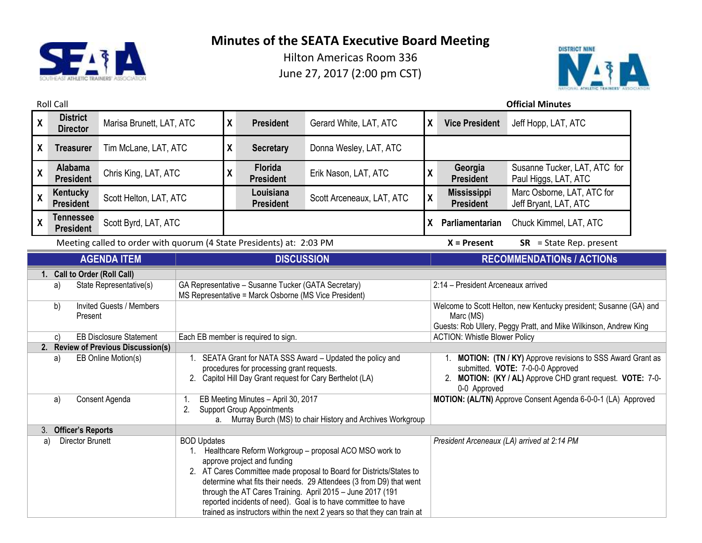



| <b>Roll Call</b>               |                                       |                                                                      |                                                            |                                                                                                                                                                                                                                                                                                                                                                                                                                                  |                                     |                                                              |                                                                   |                                        | <b>Official Minutes</b>                                          |
|--------------------------------|---------------------------------------|----------------------------------------------------------------------|------------------------------------------------------------|--------------------------------------------------------------------------------------------------------------------------------------------------------------------------------------------------------------------------------------------------------------------------------------------------------------------------------------------------------------------------------------------------------------------------------------------------|-------------------------------------|--------------------------------------------------------------|-------------------------------------------------------------------|----------------------------------------|------------------------------------------------------------------|
| $\boldsymbol{\mathsf{X}}$      | <b>District</b><br><b>Director</b>    | Marisa Brunett, LAT, ATC                                             |                                                            | $\pmb{\chi}$                                                                                                                                                                                                                                                                                                                                                                                                                                     | <b>President</b>                    | Gerard White, LAT, ATC                                       | X                                                                 | <b>Vice President</b>                  | Jeff Hopp, LAT, ATC                                              |
| $\boldsymbol{X}$               | <b>Treasurer</b>                      | Tim McLane, LAT, ATC                                                 |                                                            | χ                                                                                                                                                                                                                                                                                                                                                                                                                                                | <b>Secretary</b>                    | Donna Wesley, LAT, ATC                                       |                                                                   |                                        |                                                                  |
| $\boldsymbol{\mathsf{X}}$      | Alabama<br><b>President</b>           | Chris King, LAT, ATC                                                 |                                                            | $\boldsymbol{\mathsf{X}}$                                                                                                                                                                                                                                                                                                                                                                                                                        | <b>Florida</b><br><b>President</b>  | Erik Nason, LAT, ATC                                         | χ                                                                 | Georgia<br><b>President</b>            | Susanne Tucker, LAT, ATC for<br>Paul Higgs, LAT, ATC             |
| $\pmb{\mathsf{X}}$             | Kentucky<br><b>President</b>          | Scott Helton, LAT, ATC                                               |                                                            |                                                                                                                                                                                                                                                                                                                                                                                                                                                  | Louisiana<br><b>President</b>       | Scott Arceneaux, LAT, ATC                                    | χ                                                                 | <b>Mississippi</b><br><b>President</b> | Marc Osborne, LAT, ATC for<br>Jeff Bryant, LAT, ATC              |
| $\pmb{\chi}$                   | <b>Tennessee</b><br><b>President</b>  | Scott Byrd, LAT, ATC                                                 |                                                            |                                                                                                                                                                                                                                                                                                                                                                                                                                                  |                                     |                                                              |                                                                   | X Parliamentarian                      | Chuck Kimmel, LAT, ATC                                           |
|                                |                                       | Meeting called to order with quorum (4 State Presidents) at: 2:03 PM |                                                            |                                                                                                                                                                                                                                                                                                                                                                                                                                                  |                                     |                                                              |                                                                   | $X =$ Present                          | $SR = State Rep. present$                                        |
|                                |                                       | <b>AGENDA ITEM</b>                                                   |                                                            | <b>DISCUSSION</b>                                                                                                                                                                                                                                                                                                                                                                                                                                |                                     |                                                              |                                                                   |                                        | <b>RECOMMENDATIONS / ACTIONS</b>                                 |
|                                | 1. Call to Order (Roll Call)          |                                                                      |                                                            |                                                                                                                                                                                                                                                                                                                                                                                                                                                  |                                     |                                                              |                                                                   |                                        |                                                                  |
|                                | State Representative(s)<br>a)         |                                                                      |                                                            | GA Representative - Susanne Tucker (GATA Secretary)<br>MS Representative = Marck Osborne (MS Vice President)                                                                                                                                                                                                                                                                                                                                     |                                     |                                                              |                                                                   | 2:14 - President Arceneaux arrived     |                                                                  |
|                                | <b>Invited Guests / Members</b><br>b) |                                                                      |                                                            |                                                                                                                                                                                                                                                                                                                                                                                                                                                  |                                     |                                                              | Welcome to Scott Helton, new Kentucky president; Susanne (GA) and |                                        |                                                                  |
|                                | Present                               |                                                                      |                                                            |                                                                                                                                                                                                                                                                                                                                                                                                                                                  |                                     |                                                              |                                                                   | Marc (MS)                              | Guests: Rob Ullery, Peggy Pratt, and Mike Wilkinson, Andrew King |
|                                | <b>EB Disclosure Statement</b><br>c)  |                                                                      |                                                            | Each EB member is required to sign.                                                                                                                                                                                                                                                                                                                                                                                                              |                                     |                                                              |                                                                   | <b>ACTION: Whistle Blower Policy</b>   |                                                                  |
|                                | 2. Review of Previous Discussion(s)   |                                                                      |                                                            |                                                                                                                                                                                                                                                                                                                                                                                                                                                  |                                     |                                                              |                                                                   |                                        |                                                                  |
|                                | EB Online Motion(s)<br>a)             |                                                                      | 1. SEATA Grant for NATA SSS Award - Updated the policy and |                                                                                                                                                                                                                                                                                                                                                                                                                                                  |                                     |                                                              | 1. MOTION: (TN / KY) Approve revisions to SSS Award Grant as      |                                        |                                                                  |
|                                |                                       |                                                                      | procedures for processing grant requests.                  |                                                                                                                                                                                                                                                                                                                                                                                                                                                  |                                     |                                                              | submitted. VOTE: 7-0-0-0 Approved                                 |                                        |                                                                  |
|                                |                                       | 2. Capitol Hill Day Grant request for Cary Berthelot (LA)            |                                                            |                                                                                                                                                                                                                                                                                                                                                                                                                                                  |                                     | 2. MOTION: (KY / AL) Approve CHD grant request. VOTE: 7-0-   |                                                                   |                                        |                                                                  |
| Consent Agenda                 |                                       |                                                                      | 1.                                                         |                                                                                                                                                                                                                                                                                                                                                                                                                                                  | EB Meeting Minutes - April 30, 2017 |                                                              |                                                                   | 0-0 Approved                           | MOTION: (AL/TN) Approve Consent Agenda 6-0-0-1 (LA) Approved     |
| a)                             |                                       |                                                                      | <b>Support Group Appointments</b><br>2.                    |                                                                                                                                                                                                                                                                                                                                                                                                                                                  |                                     |                                                              |                                                                   |                                        |                                                                  |
|                                |                                       |                                                                      |                                                            |                                                                                                                                                                                                                                                                                                                                                                                                                                                  |                                     | a. Murray Burch (MS) to chair History and Archives Workgroup |                                                                   |                                        |                                                                  |
| <b>Officer's Reports</b><br>3. |                                       |                                                                      |                                                            |                                                                                                                                                                                                                                                                                                                                                                                                                                                  |                                     |                                                              |                                                                   |                                        |                                                                  |
| <b>Director Brunett</b><br>a)  |                                       |                                                                      | <b>BOD Updates</b>                                         | Healthcare Reform Workgroup - proposal ACO MSO work to<br>approve project and funding<br>2. AT Cares Committee made proposal to Board for Districts/States to<br>determine what fits their needs. 29 Attendees (3 from D9) that went<br>through the AT Cares Training. April 2015 - June 2017 (191<br>reported incidents of need). Goal is to have committee to have<br>trained as instructors within the next 2 years so that they can train at |                                     |                                                              |                                                                   |                                        | President Arceneaux (LA) arrived at 2:14 PM                      |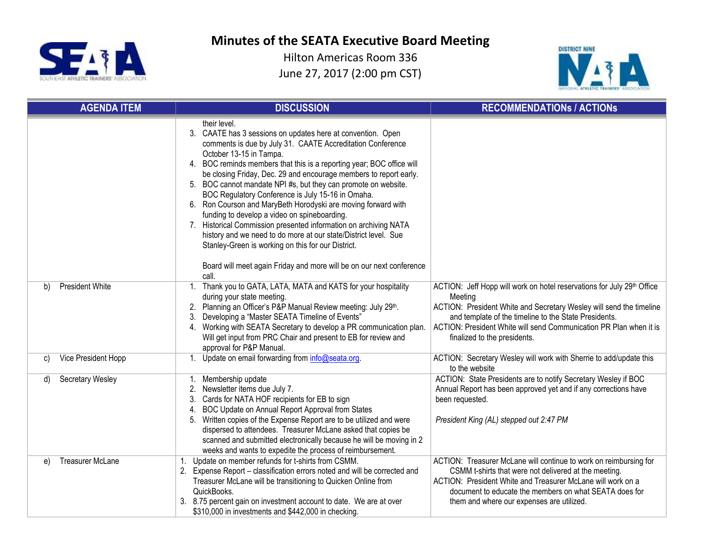



| <b>AGENDA ITEM</b>            | <b>DISCUSSION</b>                                                                                                                                                                                                                                                                                                                                                                                                                                                                                                                                                                                                                                                                                                                                                                                                                                 | <b>RECOMMENDATIONS / ACTIONS</b>                                                                                                                                                                                                                                                                                        |
|-------------------------------|---------------------------------------------------------------------------------------------------------------------------------------------------------------------------------------------------------------------------------------------------------------------------------------------------------------------------------------------------------------------------------------------------------------------------------------------------------------------------------------------------------------------------------------------------------------------------------------------------------------------------------------------------------------------------------------------------------------------------------------------------------------------------------------------------------------------------------------------------|-------------------------------------------------------------------------------------------------------------------------------------------------------------------------------------------------------------------------------------------------------------------------------------------------------------------------|
|                               | their level.<br>3. CAATE has 3 sessions on updates here at convention. Open<br>comments is due by July 31. CAATE Accreditation Conference<br>October 13-15 in Tampa.<br>BOC reminds members that this is a reporting year; BOC office will<br>4.<br>be closing Friday, Dec. 29 and encourage members to report early.<br>5. BOC cannot mandate NPI #s, but they can promote on website.<br>BOC Regulatory Conference is July 15-16 in Omaha.<br>Ron Courson and MaryBeth Horodyski are moving forward with<br>6.<br>funding to develop a video on spineboarding.<br>Historical Commission presented information on archiving NATA<br>7.<br>history and we need to do more at our state/District level. Sue<br>Stanley-Green is working on this for our District.<br>Board will meet again Friday and more will be on our next conference<br>call. |                                                                                                                                                                                                                                                                                                                         |
| <b>President White</b><br>b)  | Thank you to GATA, LATA, MATA and KATS for your hospitality<br>1.<br>during your state meeting.<br>2. Planning an Officer's P&P Manual Review meeting: July 29th.<br>Developing a "Master SEATA Timeline of Events"<br>3.<br>4. Working with SEATA Secretary to develop a PR communication plan.<br>Will get input from PRC Chair and present to EB for review and<br>approval for P&P Manual.                                                                                                                                                                                                                                                                                                                                                                                                                                                    | ACTION: Jeff Hopp will work on hotel reservations for July 29th Office<br>Meeting<br>ACTION: President White and Secretary Wesley will send the timeline<br>and template of the timeline to the State Presidents.<br>ACTION: President White will send Communication PR Plan when it is<br>finalized to the presidents. |
| Vice President Hopp<br>C)     | Update on email forwarding from info@seata.org.<br>1 <sub>1</sub>                                                                                                                                                                                                                                                                                                                                                                                                                                                                                                                                                                                                                                                                                                                                                                                 | ACTION: Secretary Wesley will work with Sherrie to add/update this<br>to the website                                                                                                                                                                                                                                    |
| Secretary Wesley<br>d)        | Membership update<br>1.<br>Newsletter items due July 7.<br>2.<br>Cards for NATA HOF recipients for EB to sign<br>3.<br>BOC Update on Annual Report Approval from States<br>4.<br>Written copies of the Expense Report are to be utilized and were<br>5.<br>dispersed to attendees. Treasurer McLane asked that copies be<br>scanned and submitted electronically because he will be moving in 2<br>weeks and wants to expedite the process of reimbursement.                                                                                                                                                                                                                                                                                                                                                                                      | ACTION: State Presidents are to notify Secretary Wesley if BOC<br>Annual Report has been approved yet and if any corrections have<br>been requested.<br>President King (AL) stepped out 2:47 PM                                                                                                                         |
| <b>Treasurer McLane</b><br>e) | 1. Update on member refunds for t-shirts from CSMM.<br>2. Expense Report – classification errors noted and will be corrected and<br>Treasurer McLane will be transitioning to Quicken Online from<br>QuickBooks.<br>3. 8.75 percent gain on investment account to date. We are at over<br>\$310,000 in investments and \$442,000 in checking.                                                                                                                                                                                                                                                                                                                                                                                                                                                                                                     | ACTION: Treasurer McLane will continue to work on reimbursing for<br>CSMM t-shirts that were not delivered at the meeting.<br>ACTION: President White and Treasurer McLane will work on a<br>document to educate the members on what SEATA does for<br>them and where our expenses are utilized.                        |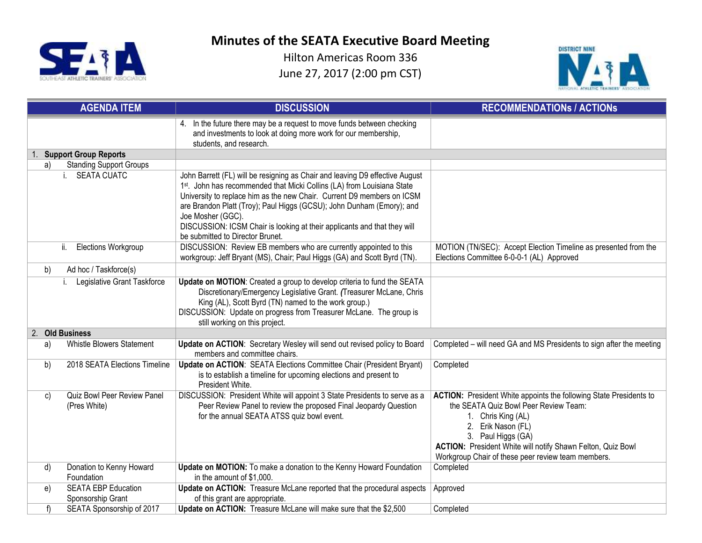



|    | <b>AGENDA ITEM</b>                          | <b>DISCUSSION</b>                                                                                                                                                                                                                                                                                                                                                                                                                              | <b>RECOMMENDATIONS / ACTIONS</b>                                                                                                                                                                                                                                                                          |
|----|---------------------------------------------|------------------------------------------------------------------------------------------------------------------------------------------------------------------------------------------------------------------------------------------------------------------------------------------------------------------------------------------------------------------------------------------------------------------------------------------------|-----------------------------------------------------------------------------------------------------------------------------------------------------------------------------------------------------------------------------------------------------------------------------------------------------------|
|    |                                             | 4. In the future there may be a request to move funds between checking<br>and investments to look at doing more work for our membership,<br>students, and research.                                                                                                                                                                                                                                                                            |                                                                                                                                                                                                                                                                                                           |
|    | 1. Support Group Reports                    |                                                                                                                                                                                                                                                                                                                                                                                                                                                |                                                                                                                                                                                                                                                                                                           |
| a) | <b>Standing Support Groups</b>              |                                                                                                                                                                                                                                                                                                                                                                                                                                                |                                                                                                                                                                                                                                                                                                           |
|    | i. SEATA CUATC                              | John Barrett (FL) will be resigning as Chair and leaving D9 effective August<br>1st. John has recommended that Micki Collins (LA) from Louisiana State<br>University to replace him as the new Chair. Current D9 members on ICSM<br>are Brandon Platt (Troy); Paul Higgs (GCSU); John Dunham (Emory); and<br>Joe Mosher (GGC).<br>DISCUSSION: ICSM Chair is looking at their applicants and that they will<br>be submitted to Director Brunet. |                                                                                                                                                                                                                                                                                                           |
|    | <b>Elections Workgroup</b><br>ii.           | DISCUSSION: Review EB members who are currently appointed to this<br>workgroup: Jeff Bryant (MS), Chair; Paul Higgs (GA) and Scott Byrd (TN).                                                                                                                                                                                                                                                                                                  | MOTION (TN/SEC): Accept Election Timeline as presented from the<br>Elections Committee 6-0-0-1 (AL) Approved                                                                                                                                                                                              |
| b) | Ad hoc / Taskforce(s)                       |                                                                                                                                                                                                                                                                                                                                                                                                                                                |                                                                                                                                                                                                                                                                                                           |
|    | Legislative Grant Taskforce                 | Update on MOTION: Created a group to develop criteria to fund the SEATA<br>Discretionary/Emergency Legislative Grant. (Treasurer McLane, Chris<br>King (AL), Scott Byrd (TN) named to the work group.)<br>DISCUSSION: Update on progress from Treasurer McLane. The group is<br>still working on this project.                                                                                                                                 |                                                                                                                                                                                                                                                                                                           |
|    | 2. Old Business                             |                                                                                                                                                                                                                                                                                                                                                                                                                                                |                                                                                                                                                                                                                                                                                                           |
| a) | Whistle Blowers Statement                   | Update on ACTION: Secretary Wesley will send out revised policy to Board<br>members and committee chairs.                                                                                                                                                                                                                                                                                                                                      | Completed – will need GA and MS Presidents to sign after the meeting                                                                                                                                                                                                                                      |
| b) | 2018 SEATA Elections Timeline               | Update on ACTION: SEATA Elections Committee Chair (President Bryant)<br>is to establish a timeline for upcoming elections and present to<br>President White.                                                                                                                                                                                                                                                                                   | Completed                                                                                                                                                                                                                                                                                                 |
| C) | Quiz Bowl Peer Review Panel<br>(Pres White) | DISCUSSION: President White will appoint 3 State Presidents to serve as a<br>Peer Review Panel to review the proposed Final Jeopardy Question<br>for the annual SEATA ATSS quiz bowl event.                                                                                                                                                                                                                                                    | <b>ACTION:</b> President White appoints the following State Presidents to<br>the SEATA Quiz Bowl Peer Review Team:<br>1. Chris King (AL)<br>2. Erik Nason (FL)<br>3. Paul Higgs (GA)<br>ACTION: President White will notify Shawn Felton, Quiz Bowl<br>Workgroup Chair of these peer review team members. |
| d) | Donation to Kenny Howard<br>Foundation      | Update on MOTION: To make a donation to the Kenny Howard Foundation<br>in the amount of \$1,000.                                                                                                                                                                                                                                                                                                                                               | Completed                                                                                                                                                                                                                                                                                                 |
| e) | <b>SEATA EBP Education</b>                  | Update on ACTION: Treasure McLane reported that the procedural aspects                                                                                                                                                                                                                                                                                                                                                                         | Approved                                                                                                                                                                                                                                                                                                  |
|    | Sponsorship Grant                           | of this grant are appropriate.                                                                                                                                                                                                                                                                                                                                                                                                                 |                                                                                                                                                                                                                                                                                                           |
| f) | SEATA Sponsorship of 2017                   | Update on ACTION: Treasure McLane will make sure that the \$2,500                                                                                                                                                                                                                                                                                                                                                                              | Completed                                                                                                                                                                                                                                                                                                 |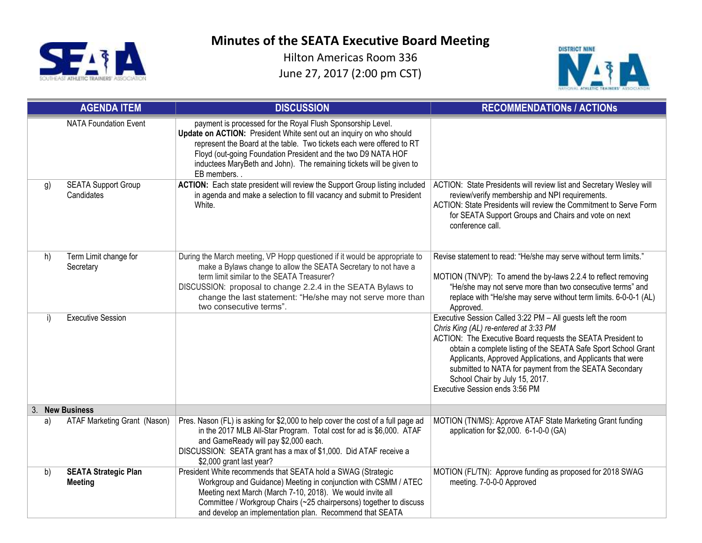



|    | <b>AGENDA ITEM</b>                            | <b>DISCUSSION</b>                                                                                                                                                                                                                                                                                                                                                  | <b>RECOMMENDATIONS / ACTIONS</b>                                                                                                                                                                                                                                                                                                                                                                                                   |
|----|-----------------------------------------------|--------------------------------------------------------------------------------------------------------------------------------------------------------------------------------------------------------------------------------------------------------------------------------------------------------------------------------------------------------------------|------------------------------------------------------------------------------------------------------------------------------------------------------------------------------------------------------------------------------------------------------------------------------------------------------------------------------------------------------------------------------------------------------------------------------------|
|    | <b>NATA Foundation Event</b>                  | payment is processed for the Royal Flush Sponsorship Level.<br>Update on ACTION: President White sent out an inquiry on who should<br>represent the Board at the table. Two tickets each were offered to RT<br>Floyd (out-going Foundation President and the two D9 NATA HOF<br>inductees MaryBeth and John). The remaining tickets will be given to<br>EB members |                                                                                                                                                                                                                                                                                                                                                                                                                                    |
| g) | <b>SEATA Support Group</b><br>Candidates      | ACTION: Each state president will review the Support Group listing included<br>in agenda and make a selection to fill vacancy and submit to President<br>White.                                                                                                                                                                                                    | ACTION: State Presidents will review list and Secretary Wesley will<br>review/verify membership and NPI requirements.<br>ACTION: State Presidents will review the Commitment to Serve Form<br>for SEATA Support Groups and Chairs and vote on next<br>conference call.                                                                                                                                                             |
| h) | Term Limit change for<br>Secretary            | During the March meeting, VP Hopp questioned if it would be appropriate to<br>make a Bylaws change to allow the SEATA Secretary to not have a<br>term limit similar to the SEATA Treasurer?<br>DISCUSSION: proposal to change 2.2.4 in the SEATA Bylaws to<br>change the last statement: "He/she may not serve more than<br>two consecutive terms".                | Revise statement to read: "He/she may serve without term limits."<br>MOTION (TN/VP): To amend the by-laws 2.2.4 to reflect removing<br>"He/she may not serve more than two consecutive terms" and<br>replace with "He/she may serve without term limits. 6-0-0-1 (AL)<br>Approved.                                                                                                                                                 |
| i) | <b>Executive Session</b>                      |                                                                                                                                                                                                                                                                                                                                                                    | Executive Session Called 3:22 PM - All guests left the room<br>Chris King (AL) re-entered at 3:33 PM<br>ACTION: The Executive Board requests the SEATA President to<br>obtain a complete listing of the SEATA Safe Sport School Grant<br>Applicants, Approved Applications, and Applicants that were<br>submitted to NATA for payment from the SEATA Secondary<br>School Chair by July 15, 2017.<br>Executive Session ends 3:56 PM |
| 3. | <b>New Business</b>                           |                                                                                                                                                                                                                                                                                                                                                                    |                                                                                                                                                                                                                                                                                                                                                                                                                                    |
| a) | ATAF Marketing Grant (Nason)                  | Pres. Nason (FL) is asking for \$2,000 to help cover the cost of a full page ad<br>in the 2017 MLB All-Star Program. Total cost for ad is \$6,000. ATAF<br>and GameReady will pay \$2,000 each.<br>DISCUSSION: SEATA grant has a max of \$1,000. Did ATAF receive a<br>\$2,000 grant last year?                                                                    | MOTION (TN/MS): Approve ATAF State Marketing Grant funding<br>application for \$2,000. 6-1-0-0 (GA)                                                                                                                                                                                                                                                                                                                                |
| b) | <b>SEATA Strategic Plan</b><br><b>Meeting</b> | President White recommends that SEATA hold a SWAG (Strategic<br>Workgroup and Guidance) Meeting in conjunction with CSMM / ATEC<br>Meeting next March (March 7-10, 2018). We would invite all<br>Committee / Workgroup Chairs (~25 chairpersons) together to discuss<br>and develop an implementation plan. Recommend that SEATA                                   | MOTION (FL/TN): Approve funding as proposed for 2018 SWAG<br>meeting. 7-0-0-0 Approved                                                                                                                                                                                                                                                                                                                                             |